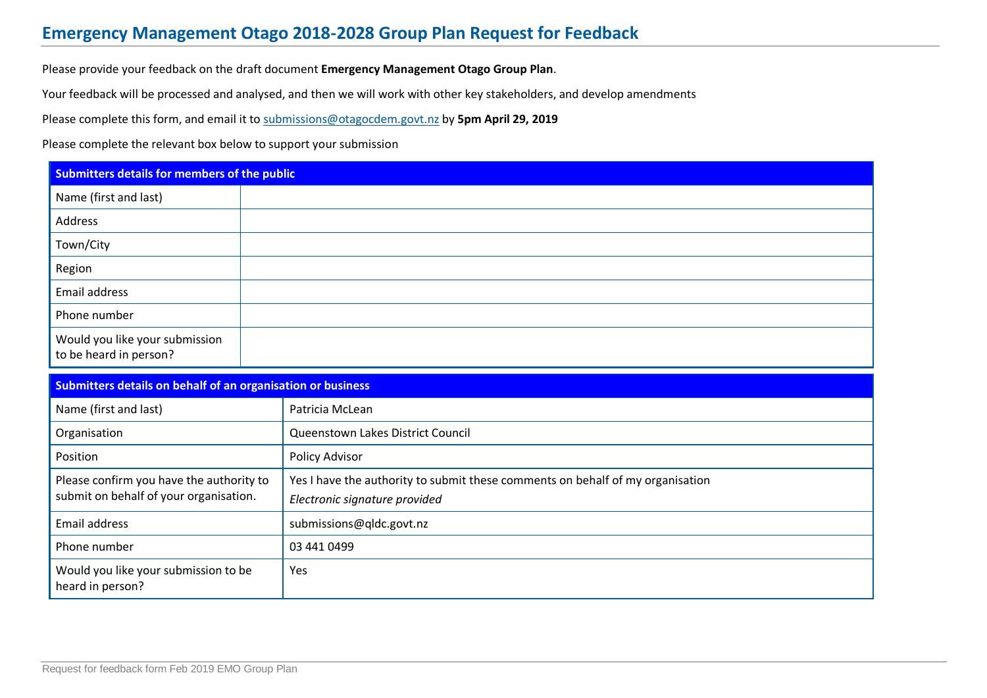Please provide your feedback on the draft document **Emergency Management Otago Group Plan**.

Your feedback will be processed and analysed, and then we will work with other key stakeholders, and develop amendments

Please complete this form, and email it t[o submissions@otagocdem.govt.nz](mailto:sarah.hexamer@otagocdem.govt.nz) by **5pm April 29, 2019** 

Please complete the relevant box below to support your submission

| Submitters details for members of the public             |  |  |
|----------------------------------------------------------|--|--|
| Name (first and last)                                    |  |  |
| Address                                                  |  |  |
| Town/City                                                |  |  |
| Region                                                   |  |  |
| Email address                                            |  |  |
| Phone number                                             |  |  |
| Would you like your submission<br>to be heard in person? |  |  |

| <b>Submitters details on behalf of an organisation or business</b>                 |                                                                                                                 |  |
|------------------------------------------------------------------------------------|-----------------------------------------------------------------------------------------------------------------|--|
| Name (first and last)                                                              | Patricia McLean                                                                                                 |  |
| Organisation                                                                       | Queenstown Lakes District Council                                                                               |  |
| Position                                                                           | Policy Advisor                                                                                                  |  |
| Please confirm you have the authority to<br>submit on behalf of your organisation. | Yes I have the authority to submit these comments on behalf of my organisation<br>Electronic signature provided |  |
| Email address                                                                      | submissions@qldc.govt.nz                                                                                        |  |
| Phone number                                                                       | 03 441 0499                                                                                                     |  |
| Would you like your submission to be<br>heard in person?                           | Yes                                                                                                             |  |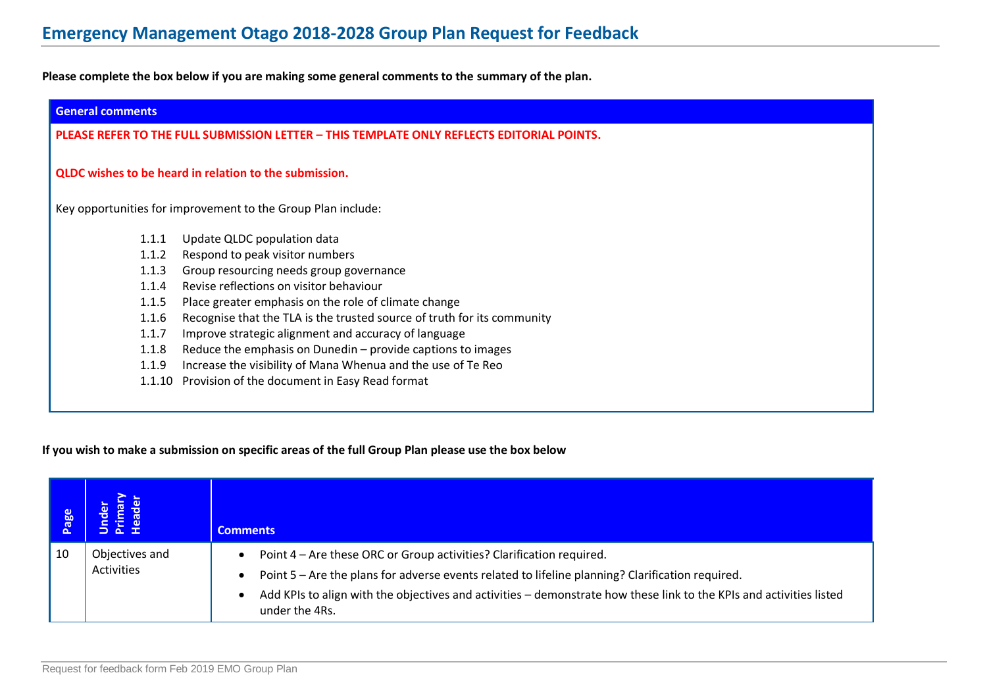**Please complete the box below if you are making some general comments to the summary of the plan.** 

| <b>General comments</b>                                                                    |                                                                         |  |
|--------------------------------------------------------------------------------------------|-------------------------------------------------------------------------|--|
| PLEASE REFER TO THE FULL SUBMISSION LETTER - THIS TEMPLATE ONLY REFLECTS EDITORIAL POINTS. |                                                                         |  |
|                                                                                            |                                                                         |  |
|                                                                                            | QLDC wishes to be heard in relation to the submission.                  |  |
|                                                                                            |                                                                         |  |
|                                                                                            | Key opportunities for improvement to the Group Plan include:            |  |
| 1.1.1                                                                                      | Update QLDC population data                                             |  |
| 1.1.2                                                                                      | Respond to peak visitor numbers                                         |  |
| 1.1.3                                                                                      | Group resourcing needs group governance                                 |  |
| 1.1.4                                                                                      | Revise reflections on visitor behaviour                                 |  |
| 1.1.5                                                                                      | Place greater emphasis on the role of climate change                    |  |
| 1.1.6                                                                                      | Recognise that the TLA is the trusted source of truth for its community |  |
| 1.1.7                                                                                      | Improve strategic alignment and accuracy of language                    |  |
| 1.1.8                                                                                      | Reduce the emphasis on Dunedin – provide captions to images             |  |
| 1.1.9                                                                                      | Increase the visibility of Mana Whenua and the use of Te Reo            |  |
| 1.1.10                                                                                     | Provision of the document in Easy Read format                           |  |
|                                                                                            |                                                                         |  |

**If you wish to make a submission on specific areas of the full Group Plan please use the box below**

| Page | -51                          | <b>Comments</b>                                                                                                                                                                                                                                                                                                   |
|------|------------------------------|-------------------------------------------------------------------------------------------------------------------------------------------------------------------------------------------------------------------------------------------------------------------------------------------------------------------|
| 10   | Objectives and<br>Activities | Point 4 – Are these ORC or Group activities? Clarification required.<br>Point 5 – Are the plans for adverse events related to lifeline planning? Clarification required.<br>Add KPIs to align with the objectives and activities - demonstrate how these link to the KPIs and activities listed<br>under the 4Rs. |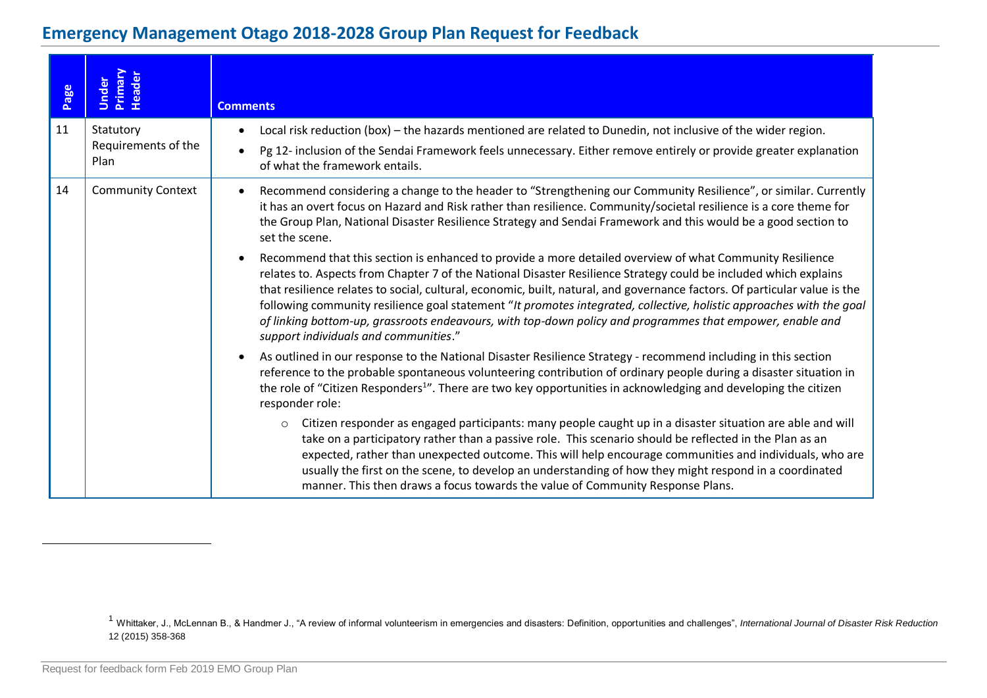| Page | Primary<br>Header<br>Under                                             | <b>Comments</b>                                                                                                                                                                                                                                                                                                                                                                                                                                                                                                                                                                                                                                                                                                                                                                                                                                                                                                                                                                                                                                                                                                                                                                                                                                                                                                                                                                                                                                                                                                                                                                                                                                                                                                                                                                                                                                                                                                                                          |
|------|------------------------------------------------------------------------|----------------------------------------------------------------------------------------------------------------------------------------------------------------------------------------------------------------------------------------------------------------------------------------------------------------------------------------------------------------------------------------------------------------------------------------------------------------------------------------------------------------------------------------------------------------------------------------------------------------------------------------------------------------------------------------------------------------------------------------------------------------------------------------------------------------------------------------------------------------------------------------------------------------------------------------------------------------------------------------------------------------------------------------------------------------------------------------------------------------------------------------------------------------------------------------------------------------------------------------------------------------------------------------------------------------------------------------------------------------------------------------------------------------------------------------------------------------------------------------------------------------------------------------------------------------------------------------------------------------------------------------------------------------------------------------------------------------------------------------------------------------------------------------------------------------------------------------------------------------------------------------------------------------------------------------------------------|
| 11   | Statutory<br>Requirements of the<br>Plan                               | Local risk reduction (box) - the hazards mentioned are related to Dunedin, not inclusive of the wider region.<br>Pg 12- inclusion of the Sendai Framework feels unnecessary. Either remove entirely or provide greater explanation<br>of what the framework entails.                                                                                                                                                                                                                                                                                                                                                                                                                                                                                                                                                                                                                                                                                                                                                                                                                                                                                                                                                                                                                                                                                                                                                                                                                                                                                                                                                                                                                                                                                                                                                                                                                                                                                     |
| 14   | <b>Community Context</b>                                               | Recommend considering a change to the header to "Strengthening our Community Resilience", or similar. Currently<br>it has an overt focus on Hazard and Risk rather than resilience. Community/societal resilience is a core theme for<br>the Group Plan, National Disaster Resilience Strategy and Sendai Framework and this would be a good section to<br>set the scene.<br>Recommend that this section is enhanced to provide a more detailed overview of what Community Resilience<br>relates to. Aspects from Chapter 7 of the National Disaster Resilience Strategy could be included which explains<br>that resilience relates to social, cultural, economic, built, natural, and governance factors. Of particular value is the<br>following community resilience goal statement "It promotes integrated, collective, holistic approaches with the goal<br>of linking bottom-up, grassroots endeavours, with top-down policy and programmes that empower, enable and<br>support individuals and communities."<br>As outlined in our response to the National Disaster Resilience Strategy - recommend including in this section<br>reference to the probable spontaneous volunteering contribution of ordinary people during a disaster situation in<br>the role of "Citizen Responders <sup>1</sup> ". There are two key opportunities in acknowledging and developing the citizen<br>responder role:<br>Citizen responder as engaged participants: many people caught up in a disaster situation are able and will<br>$\circ$<br>take on a participatory rather than a passive role. This scenario should be reflected in the Plan as an<br>expected, rather than unexpected outcome. This will help encourage communities and individuals, who are<br>usually the first on the scene, to develop an understanding of how they might respond in a coordinated<br>manner. This then draws a focus towards the value of Community Response Plans. |
|      | 12 (2015) 358-368<br>Request for feedback form Feb 2019 EMO Group Plan | <sup>1</sup> Whittaker, J., McLennan B., & Handmer J., "A review of informal volunteerism in emergencies and disasters: Definition, opportunities and challenges", <i>International Journal of Disaster</i>                                                                                                                                                                                                                                                                                                                                                                                                                                                                                                                                                                                                                                                                                                                                                                                                                                                                                                                                                                                                                                                                                                                                                                                                                                                                                                                                                                                                                                                                                                                                                                                                                                                                                                                                              |

<sup>1</sup> Whittaker, J., McLennan B., & Handmer J., "A review of informal volunteerism in emergencies and disasters: Definition, opportunities and challenges", *International Journal of Disaster Risk Reduction* 12 (2015) 358-368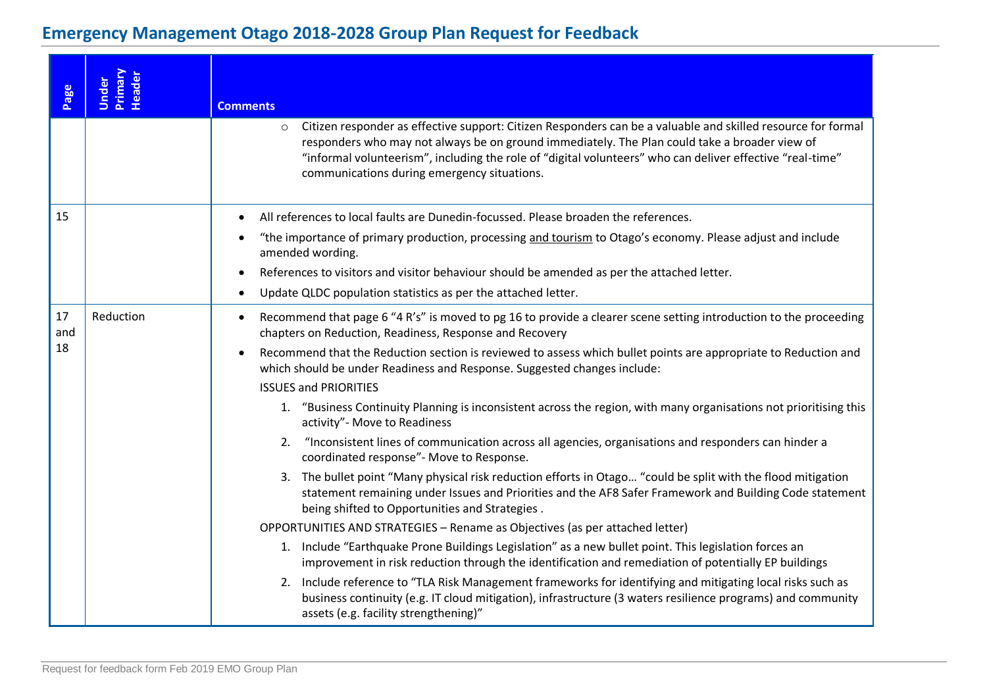| Page      | Primary<br>Header<br>Under                        | <b>Comments</b>                                                                                                                                                                                                                                                                                                                                                                      |
|-----------|---------------------------------------------------|--------------------------------------------------------------------------------------------------------------------------------------------------------------------------------------------------------------------------------------------------------------------------------------------------------------------------------------------------------------------------------------|
|           |                                                   | Citizen responder as effective support: Citizen Responders can be a valuable and skilled resource for formal<br>$\circ$<br>responders who may not always be on ground immediately. The Plan could take a broader view of<br>"informal volunteerism", including the role of "digital volunteers" who can deliver effective "real-time"<br>communications during emergency situations. |
| 15        |                                                   | All references to local faults are Dunedin-focussed. Please broaden the references.<br>$\bullet$                                                                                                                                                                                                                                                                                     |
|           |                                                   | "the importance of primary production, processing and tourism to Otago's economy. Please adjust and include<br>amended wording.                                                                                                                                                                                                                                                      |
|           |                                                   | References to visitors and visitor behaviour should be amended as per the attached letter.                                                                                                                                                                                                                                                                                           |
|           |                                                   | Update QLDC population statistics as per the attached letter.<br>$\bullet$                                                                                                                                                                                                                                                                                                           |
| 17<br>and | Reduction                                         | Recommend that page 6 "4 R's" is moved to pg 16 to provide a clearer scene setting introduction to the proceeding<br>$\bullet$<br>chapters on Reduction, Readiness, Response and Recovery                                                                                                                                                                                            |
| 18        |                                                   | Recommend that the Reduction section is reviewed to assess which bullet points are appropriate to Reduction and<br>which should be under Readiness and Response. Suggested changes include:<br><b>ISSUES and PRIORITIES</b>                                                                                                                                                          |
|           |                                                   | 1. "Business Continuity Planning is inconsistent across the region, with many organisations not prioritising this<br>activity" - Move to Readiness                                                                                                                                                                                                                                   |
|           |                                                   | "Inconsistent lines of communication across all agencies, organisations and responders can hinder a<br>2.<br>coordinated response"- Move to Response.                                                                                                                                                                                                                                |
|           |                                                   | 3. The bullet point "Many physical risk reduction efforts in Otago "could be split with the flood mitigation<br>statement remaining under Issues and Priorities and the AF8 Safer Framework and Building Code statement<br>being shifted to Opportunities and Strategies.                                                                                                            |
|           |                                                   | OPPORTUNITIES AND STRATEGIES - Rename as Objectives (as per attached letter)                                                                                                                                                                                                                                                                                                         |
|           |                                                   | 1. Include "Earthquake Prone Buildings Legislation" as a new bullet point. This legislation forces an<br>improvement in risk reduction through the identification and remediation of potentially EP buildings                                                                                                                                                                        |
|           |                                                   | 2. Include reference to "TLA Risk Management frameworks for identifying and mitigating local risks such as<br>business continuity (e.g. IT cloud mitigation), infrastructure (3 waters resilience programs) and community<br>assets (e.g. facility strengthening)"                                                                                                                   |
|           | Request for feedback form Feb 2019 EMO Group Plan |                                                                                                                                                                                                                                                                                                                                                                                      |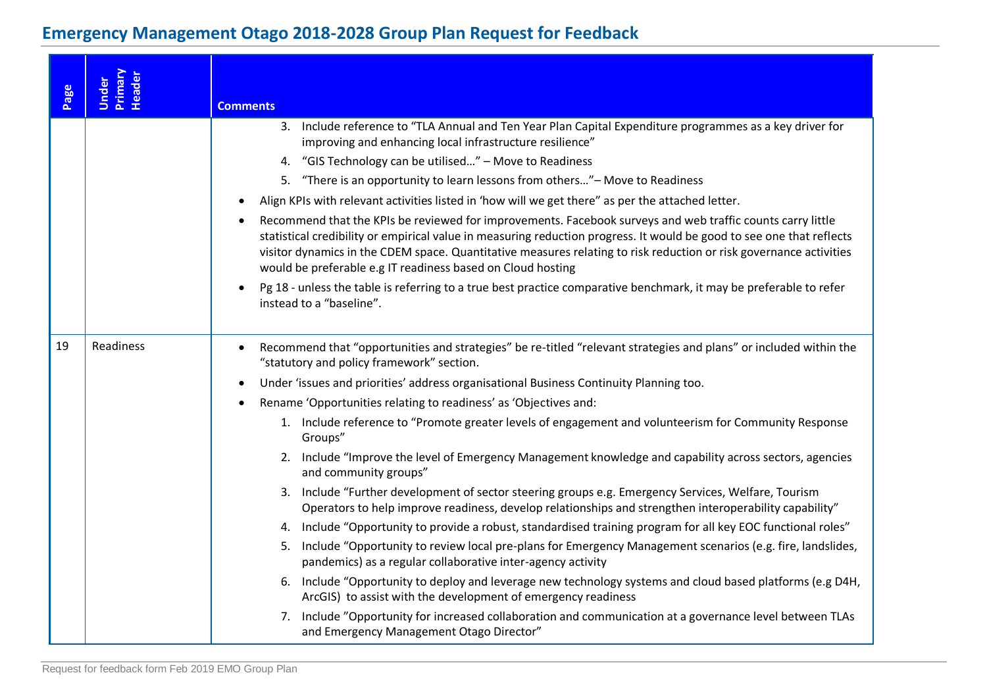| Page | Primary<br>Header<br>Under | <b>Comments</b>                                                                                                                                                                                                                                                                                                                                                                                                                       |
|------|----------------------------|---------------------------------------------------------------------------------------------------------------------------------------------------------------------------------------------------------------------------------------------------------------------------------------------------------------------------------------------------------------------------------------------------------------------------------------|
|      |                            | 3. Include reference to "TLA Annual and Ten Year Plan Capital Expenditure programmes as a key driver for<br>improving and enhancing local infrastructure resilience"                                                                                                                                                                                                                                                                  |
|      |                            | 4. "GIS Technology can be utilised" - Move to Readiness                                                                                                                                                                                                                                                                                                                                                                               |
|      |                            | "There is an opportunity to learn lessons from others" - Move to Readiness<br>5.                                                                                                                                                                                                                                                                                                                                                      |
|      |                            | Align KPIs with relevant activities listed in 'how will we get there" as per the attached letter.<br>$\bullet$                                                                                                                                                                                                                                                                                                                        |
|      |                            | Recommend that the KPIs be reviewed for improvements. Facebook surveys and web traffic counts carry little<br>$\bullet$<br>statistical credibility or empirical value in measuring reduction progress. It would be good to see one that reflects<br>visitor dynamics in the CDEM space. Quantitative measures relating to risk reduction or risk governance activities<br>would be preferable e.g IT readiness based on Cloud hosting |
|      |                            | Pg 18 - unless the table is referring to a true best practice comparative benchmark, it may be preferable to refer<br>instead to a "baseline".                                                                                                                                                                                                                                                                                        |
| 19   | Readiness                  | Recommend that "opportunities and strategies" be re-titled "relevant strategies and plans" or included within the<br>$\bullet$<br>"statutory and policy framework" section.                                                                                                                                                                                                                                                           |
|      |                            | Under 'issues and priorities' address organisational Business Continuity Planning too.<br>$\bullet$                                                                                                                                                                                                                                                                                                                                   |
|      |                            | Rename 'Opportunities relating to readiness' as 'Objectives and:<br>$\bullet$                                                                                                                                                                                                                                                                                                                                                         |
|      |                            | 1. Include reference to "Promote greater levels of engagement and volunteerism for Community Response<br>Groups"                                                                                                                                                                                                                                                                                                                      |
|      |                            | 2. Include "Improve the level of Emergency Management knowledge and capability across sectors, agencies<br>and community groups"                                                                                                                                                                                                                                                                                                      |
|      |                            | 3. Include "Further development of sector steering groups e.g. Emergency Services, Welfare, Tourism<br>Operators to help improve readiness, develop relationships and strengthen interoperability capability"                                                                                                                                                                                                                         |
|      |                            | 4. Include "Opportunity to provide a robust, standardised training program for all key EOC functional roles"                                                                                                                                                                                                                                                                                                                          |
|      |                            | 5. Include "Opportunity to review local pre-plans for Emergency Management scenarios (e.g. fire, landslides,<br>pandemics) as a regular collaborative inter-agency activity                                                                                                                                                                                                                                                           |
|      |                            | 6. Include "Opportunity to deploy and leverage new technology systems and cloud based platforms (e.g D4H,<br>ArcGIS) to assist with the development of emergency readiness                                                                                                                                                                                                                                                            |
|      |                            | 7. Include "Opportunity for increased collaboration and communication at a governance level between TLAs<br>and Emergency Management Otago Director"                                                                                                                                                                                                                                                                                  |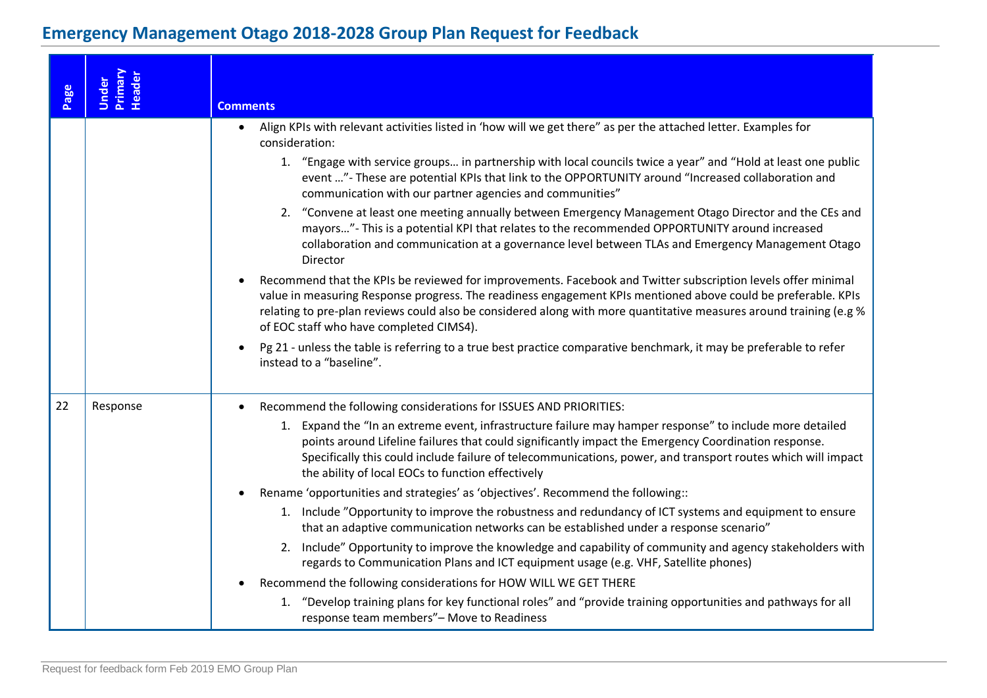| Page | Primary<br>Header<br>Under | <b>Comments</b>                                                                                                                                                                                                                                                                                                                                                                                |
|------|----------------------------|------------------------------------------------------------------------------------------------------------------------------------------------------------------------------------------------------------------------------------------------------------------------------------------------------------------------------------------------------------------------------------------------|
|      |                            | Align KPIs with relevant activities listed in 'how will we get there" as per the attached letter. Examples for<br>consideration:                                                                                                                                                                                                                                                               |
|      |                            | 1. "Engage with service groups in partnership with local councils twice a year" and "Hold at least one public<br>event "- These are potential KPIs that link to the OPPORTUNITY around "Increased collaboration and<br>communication with our partner agencies and communities"                                                                                                                |
|      |                            | 2. "Convene at least one meeting annually between Emergency Management Otago Director and the CEs and<br>mayors"- This is a potential KPI that relates to the recommended OPPORTUNITY around increased<br>collaboration and communication at a governance level between TLAs and Emergency Management Otago<br>Director                                                                        |
|      |                            | Recommend that the KPIs be reviewed for improvements. Facebook and Twitter subscription levels offer minimal<br>value in measuring Response progress. The readiness engagement KPIs mentioned above could be preferable. KPIs<br>relating to pre-plan reviews could also be considered along with more quantitative measures around training (e.g %<br>of EOC staff who have completed CIMS4). |
|      |                            | Pg 21 - unless the table is referring to a true best practice comparative benchmark, it may be preferable to refer<br>instead to a "baseline".                                                                                                                                                                                                                                                 |
| 22   | Response                   | Recommend the following considerations for ISSUES AND PRIORITIES:                                                                                                                                                                                                                                                                                                                              |
|      |                            | 1. Expand the "In an extreme event, infrastructure failure may hamper response" to include more detailed<br>points around Lifeline failures that could significantly impact the Emergency Coordination response.<br>Specifically this could include failure of telecommunications, power, and transport routes which will impact<br>the ability of local EOCs to function effectively          |
|      |                            | Rename 'opportunities and strategies' as 'objectives'. Recommend the following::                                                                                                                                                                                                                                                                                                               |
|      |                            | 1. Include "Opportunity to improve the robustness and redundancy of ICT systems and equipment to ensure<br>that an adaptive communication networks can be established under a response scenario"                                                                                                                                                                                               |
|      |                            | 2. Include" Opportunity to improve the knowledge and capability of community and agency stakeholders with<br>regards to Communication Plans and ICT equipment usage (e.g. VHF, Satellite phones)                                                                                                                                                                                               |
|      |                            | Recommend the following considerations for HOW WILL WE GET THERE                                                                                                                                                                                                                                                                                                                               |
|      |                            | "Develop training plans for key functional roles" and "provide training opportunities and pathways for all<br>1.<br>response team members"- Move to Readiness                                                                                                                                                                                                                                  |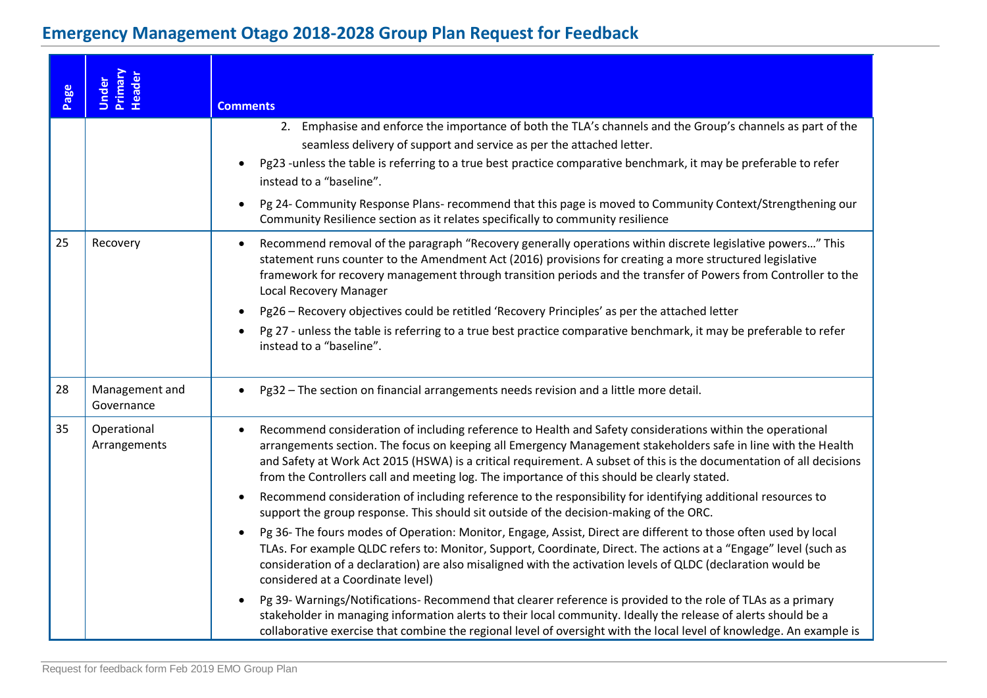| Page | Primary<br>Header<br>Under                        | <b>Comments</b>                                                                                                                                                                                                                                                                                                                                                                                                                                                                                                                                                                                                                                 |
|------|---------------------------------------------------|-------------------------------------------------------------------------------------------------------------------------------------------------------------------------------------------------------------------------------------------------------------------------------------------------------------------------------------------------------------------------------------------------------------------------------------------------------------------------------------------------------------------------------------------------------------------------------------------------------------------------------------------------|
|      |                                                   | 2. Emphasise and enforce the importance of both the TLA's channels and the Group's channels as part of the<br>seamless delivery of support and service as per the attached letter.<br>Pg23 -unless the table is referring to a true best practice comparative benchmark, it may be preferable to refer<br>instead to a "baseline".<br>Pg 24- Community Response Plans- recommend that this page is moved to Community Context/Strengthening our<br>Community Resilience section as it relates specifically to community resilience                                                                                                              |
| 25   | Recovery                                          | Recommend removal of the paragraph "Recovery generally operations within discrete legislative powers" This<br>$\bullet$<br>statement runs counter to the Amendment Act (2016) provisions for creating a more structured legislative<br>framework for recovery management through transition periods and the transfer of Powers from Controller to the<br>Local Recovery Manager<br>Pg26 - Recovery objectives could be retitled 'Recovery Principles' as per the attached letter<br>$\bullet$<br>Pg 27 - unless the table is referring to a true best practice comparative benchmark, it may be preferable to refer<br>instead to a "baseline". |
| 28   | Management and<br>Governance                      | Pg32 - The section on financial arrangements needs revision and a little more detail.                                                                                                                                                                                                                                                                                                                                                                                                                                                                                                                                                           |
| 35   | Operational<br>Arrangements                       | Recommend consideration of including reference to Health and Safety considerations within the operational<br>arrangements section. The focus on keeping all Emergency Management stakeholders safe in line with the Health<br>and Safety at Work Act 2015 (HSWA) is a critical requirement. A subset of this is the documentation of all decisions<br>from the Controllers call and meeting log. The importance of this should be clearly stated.                                                                                                                                                                                               |
|      |                                                   | Recommend consideration of including reference to the responsibility for identifying additional resources to<br>$\bullet$<br>support the group response. This should sit outside of the decision-making of the ORC.                                                                                                                                                                                                                                                                                                                                                                                                                             |
|      |                                                   | Pg 36- The fours modes of Operation: Monitor, Engage, Assist, Direct are different to those often used by local<br>$\bullet$<br>TLAs. For example QLDC refers to: Monitor, Support, Coordinate, Direct. The actions at a "Engage" level (such as<br>consideration of a declaration) are also misaligned with the activation levels of QLDC (declaration would be<br>considered at a Coordinate level)                                                                                                                                                                                                                                           |
|      |                                                   | Pg 39- Warnings/Notifications- Recommend that clearer reference is provided to the role of TLAs as a primary<br>stakeholder in managing information alerts to their local community. Ideally the release of alerts should be a<br>collaborative exercise that combine the regional level of oversight with the local level of knowledge. An example is                                                                                                                                                                                                                                                                                          |
|      | Request for feedback form Feb 2019 EMO Group Plan |                                                                                                                                                                                                                                                                                                                                                                                                                                                                                                                                                                                                                                                 |